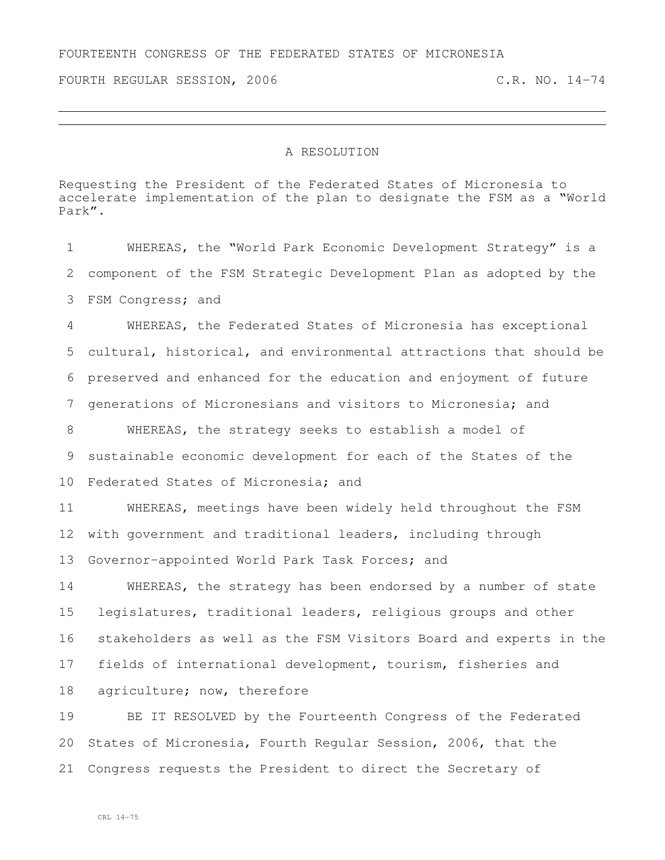FOURTH REGULAR SESSION, 2006 C.R. NO. 14-74

## A RESOLUTION

Requesting the President of the Federated States of Micronesia to accelerate implementation of the plan to designate the FSM as a "World Park".

 WHEREAS, the "World Park Economic Development Strategy" is a component of the FSM Strategic Development Plan as adopted by the FSM Congress; and WHEREAS, the Federated States of Micronesia has exceptional cultural, historical, and environmental attractions that should be preserved and enhanced for the education and enjoyment of future

generations of Micronesians and visitors to Micronesia; and

 WHEREAS, the strategy seeks to establish a model of sustainable economic development for each of the States of the Federated States of Micronesia; and

 WHEREAS, meetings have been widely held throughout the FSM with government and traditional leaders, including through Governor-appointed World Park Task Forces; and

 WHEREAS, the strategy has been endorsed by a number of state legislatures, traditional leaders, religious groups and other stakeholders as well as the FSM Visitors Board and experts in the fields of international development, tourism, fisheries and agriculture; now, therefore

 BE IT RESOLVED by the Fourteenth Congress of the Federated States of Micronesia, Fourth Regular Session, 2006, that the Congress requests the President to direct the Secretary of